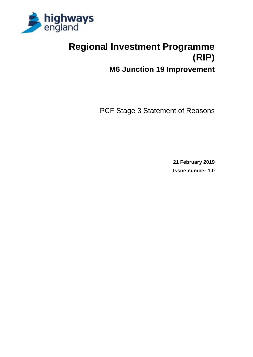

# **Regional Investment Programme (RIP)**

**M6 Junction 19 Improvement**

PCF Stage 3 Statement of Reasons

**21 February 2019 Issue number 1.0**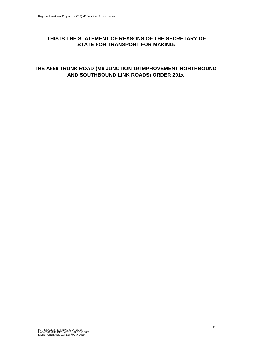#### **THIS IS THE STATEMENT OF REASONS OF THE SECRETARY OF STATE FOR TRANSPORT FOR MAKING:**

#### **THE A556 TRUNK ROAD (M6 JUNCTION 19 IMPROVEMENT NORTHBOUND AND SOUTHBOUND LINK ROADS) ORDER 201x**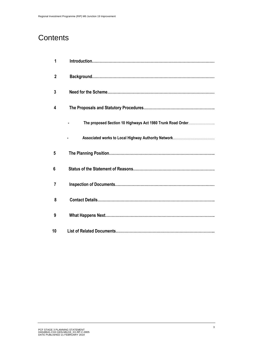### **Contents**

| 1  |                                                            |
|----|------------------------------------------------------------|
| 2  |                                                            |
| 3  |                                                            |
| 4  |                                                            |
|    | The proposed Section 10 Highways Act 1980 Trunk Road Order |
|    |                                                            |
| 5  |                                                            |
| 6  |                                                            |
| 7  |                                                            |
| 8  |                                                            |
| 9  |                                                            |
| 10 |                                                            |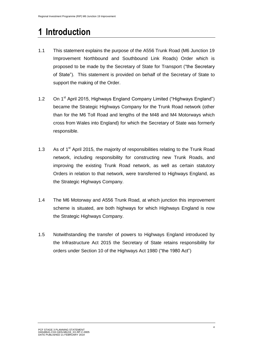## **1 Introduction**

- 1.1 This statement explains the purpose of the A556 Trunk Road (M6 Junction 19 Improvement Northbound and Southbound Link Roads) Order which is proposed to be made by the Secretary of State for Transport ("the Secretary of State"). This statement is provided on behalf of the Secretary of State to support the making of the Order.
- 1.2 On 1<sup>st</sup> April 2015, Highways England Company Limited ("Highways England") became the Strategic Highways Company for the Trunk Road network (other than for the M6 Toll Road and lengths of the M48 and M4 Motorways which cross from Wales into England) for which the Secretary of State was formerly responsible.
- 1.3 As of  $1<sup>st</sup>$  April 2015, the majority of responsibilities relating to the Trunk Road network, including responsibility for constructing new Trunk Roads, and improving the existing Trunk Road network, as well as certain statutory Orders in relation to that network, were transferred to Highways England, as the Strategic Highways Company.
- 1.4 The M6 Motorway and A556 Trunk Road, at which junction this improvement scheme is situated, are both highways for which Highways England is now the Strategic Highways Company.
- 1.5 Notwithstanding the transfer of powers to Highways England introduced by the Infrastructure Act 2015 the Secretary of State retains responsibility for orders under Section 10 of the Highways Act 1980 ("the 1980 Act")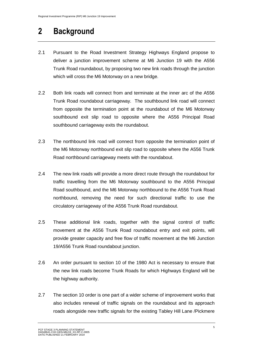## **2 Background**

- 2.1 Pursuant to the Road Investment Strategy Highways England propose to deliver a junction improvement scheme at M6 Junction 19 with the A556 Trunk Road roundabout, by proposing two new link roads through the junction which will cross the M6 Motorway on a new bridge.
- 2.2 Both link roads will connect from and terminate at the inner arc of the A556 Trunk Road roundabout carriageway. The southbound link road will connect from opposite the termination point at the roundabout of the M6 Motorway southbound exit slip road to opposite where the A556 Principal Road southbound carriageway exits the roundabout.
- 2.3 The northbound link road will connect from opposite the termination point of the M6 Motorway northbound exit slip road to opposite where the A556 Trunk Road northbound carriageway meets with the roundabout.
- 2.4 The new link roads will provide a more direct route through the roundabout for traffic travelling from the M6 Motorway southbound to the A556 Principal Road southbound, and the M6 Motorway northbound to the A556 Trunk Road northbound, removing the need for such directional traffic to use the circulatory carriageway of the A556 Trunk Road roundabout.
- 2.5 These additional link roads, together with the signal control of traffic movement at the A556 Trunk Road roundabout entry and exit points, will provide greater capacity and free flow of traffic movement at the M6 Junction 19/A556 Trunk Road roundabout junction.
- 2.6 An order pursuant to section 10 of the 1980 Act is necessary to ensure that the new link roads become Trunk Roads for which Highways England will be the highway authority.
- 2.7 The section 10 order is one part of a wider scheme of improvement works that also includes renewal of traffic signals on the roundabout and its approach roads alongside new traffic signals for the existing Tabley Hill Lane /Pickmere

PCF STAGE 3 PLANNING STATEMENT HA548641-CH2-GEN-M6J19\_XX-RP-C-0005 DATE PUBLISHED 21 FEBRUARY 2019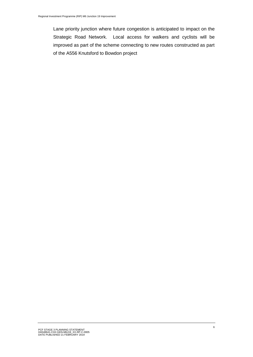Lane priority junction where future congestion is anticipated to impact on the Strategic Road Network. Local access for walkers and cyclists will be improved as part of the scheme connecting to new routes constructed as part of the A556 Knutsford to Bowdon project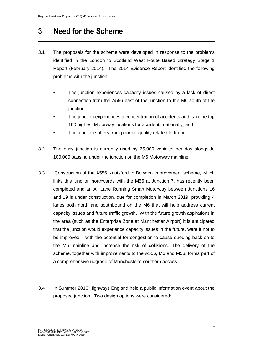### **3 Need for the Scheme**

- 3.1 The proposals for the scheme were developed in response to the problems identified in the London to Scotland West Route Based Strategy Stage 1 Report (February 2014). The 2014 Evidence Report identified the following problems with the junction:
	- The junction experiences capacity issues caused by a lack of direct connection from the A556 east of the junction to the M6 south of the junction;
	- The junction experiences a concentration of accidents and is in the top 100 highest Motorway locations for accidents nationally; and
	- The junction suffers from poor air quality related to traffic.
- 3.2 The busy junction is currently used by 65,000 vehicles per day alongside 100,000 passing under the junction on the M6 Motorway mainline.
- 3.3 Construction of the A556 Knutsford to Bowdon Improvement scheme, which links this junction northwards with the M56 at Junction 7, has recently been completed and an All Lane Running Smart Motorway between Junctions 16 and 19 is under construction, due for completion in March 2019, providing 4 lanes both north and southbound on the M6 that will help address current capacity issues and future traffic growth. With the future growth aspirations in the area (such as the Enterprise Zone at Manchester Airport) it is anticipated that the junction would experience capacity issues in the future, were it not to be improved – with the potential for congestion to cause queuing back on to the M6 mainline and increase the risk of collisions. The delivery of the scheme, together with improvements to the A556, M6 and M56, forms part of a comprehensive upgrade of Manchester's southern access.
- 3.4 In Summer 2016 Highways England held a public information event about the proposed junction. Two design options were considered: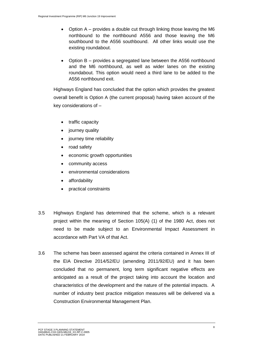- Option A provides a double cut through linking those leaving the M6 northbound to the northbound A556 and those leaving the M6 southbound to the A556 southbound. All other links would use the existing roundabout.
- Option B provides a segregated lane between the A556 northbound and the M6 northbound, as well as wider lanes on the existing roundabout. This option would need a third lane to be added to the A556 northbound exit.

Highways England has concluded that the option which provides the greatest overall benefit is Option A (the current proposal) having taken account of the key considerations of –

- traffic capacity
- journey quality
- journey time reliability
- road safety
- economic growth opportunities
- community access
- environmental considerations
- affordability
- practical constraints
- 3.5 Highways England has determined that the scheme, which is a relevant project within the meaning of Section 105(A) (1) of the 1980 Act, does not need to be made subject to an Environmental Impact Assessment in accordance with Part VA of that Act.
- 3.6 The scheme has been assessed against the criteria contained in Annex III of the EIA Directive 2014/52/EU (amending 2011/92/EU) and it has been concluded that no permanent, long term significant negative effects are anticipated as a result of the project taking into account the location and characteristics of the development and the nature of the potential impacts. A number of industry best practice mitigation measures will be delivered via a Construction Environmental Management Plan.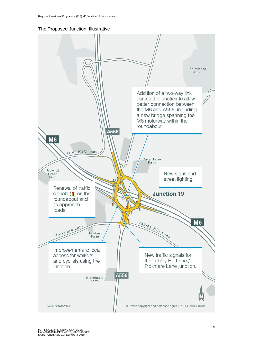

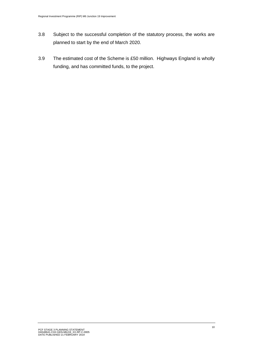- 3.8 Subject to the successful completion of the statutory process, the works are planned to start by the end of March 2020.
- 3.9 The estimated cost of the Scheme is £50 million. Highways England is wholly funding, and has committed funds, to the project.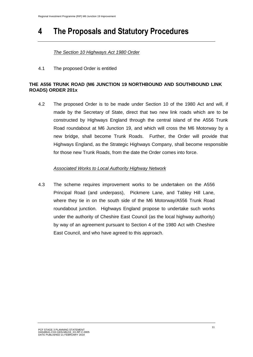## **4 The Proposals and Statutory Procedures**

#### *The Section 10 Highways Act 1980 Order*

4.1 The proposed Order is entitled

#### **THE A556 TRUNK ROAD (M6 JUNCTION 19 NORTHBOUND AND SOUTHBOUND LINK ROADS) ORDER 201x**

4.2 The proposed Order is to be made under Section 10 of the 1980 Act and will, if made by the Secretary of State, direct that two new link roads which are to be constructed by Highways England through the central island of the A556 Trunk Road roundabout at M6 Junction 19, and which will cross the M6 Motorway by a new bridge, shall become Trunk Roads. Further, the Order will provide that Highways England, as the Strategic Highways Company, shall become responsible for those new Trunk Roads, from the date the Order comes into force.

#### *Associated Works to Local Authority Highway Network*

4.3 The scheme requires improvement works to be undertaken on the A556 Principal Road (and underpass), Pickmere Lane, and Tabley Hill Lane, where they tie in on the south side of the M6 Motorway/A556 Trunk Road roundabout junction. Highways England propose to undertake such works under the authority of Cheshire East Council (as the local highway authority) by way of an agreement pursuant to Section 4 of the 1980 Act with Cheshire East Council, and who have agreed to this approach.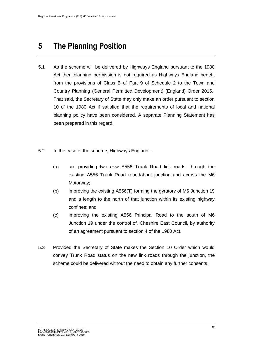### **5 The Planning Position**

- 5.1 As the scheme will be delivered by Highways England pursuant to the 1980 Act then planning permission is not required as Highways England benefit from the provisions of Class B of Part 9 of Schedule 2 to the Town and Country Planning (General Permitted Development) (England) Order 2015. That said, the Secretary of State may only make an order pursuant to section 10 of the 1980 Act if satisfied that the requirements of local and national planning policy have been considered. A separate Planning Statement has been prepared in this regard.
- 5.2 In the case of the scheme, Highways England
	- (a) are providing two *new* A556 Trunk Road link roads, through the existing A556 Trunk Road roundabout junction and across the M6 Motorway;
	- (b) improving the existing A556(T) forming the gyratory of M6 Junction 19 and a length to the north of that junction within its existing highway confines; and
	- (c) improving the existing A556 Principal Road to the south of M6 Junction 19 under the control of, Cheshire East Council, by authority of an agreement pursuant to section 4 of the 1980 Act.
- 5.3 Provided the Secretary of State makes the Section 10 Order which would convey Trunk Road status on the new link roads through the junction, the scheme could be delivered without the need to obtain any further consents.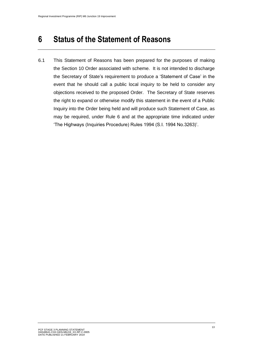### **6 Status of the Statement of Reasons**

6.1 This Statement of Reasons has been prepared for the purposes of making the Section 10 Order associated with scheme. It is not intended to discharge the Secretary of State's requirement to produce a 'Statement of Case' in the event that he should call a public local inquiry to be held to consider any objections received to the proposed Order. The Secretary of State reserves the right to expand or otherwise modify this statement in the event of a Public Inquiry into the Order being held and will produce such Statement of Case, as may be required, under Rule 6 and at the appropriate time indicated under 'The Highways (Inquiries Procedure) Rules 1994 (S.I. 1994 No.3263)'.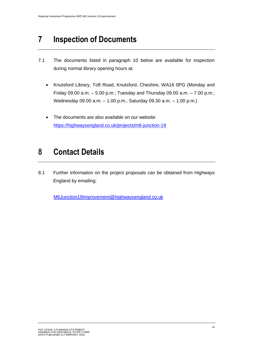## **7 Inspection of Documents**

- 7.1 The documents listed in paragraph 10 below are available for inspection during normal library opening hours at:
	- Knutsford Library, Toft Road, Knutsford, Cheshire, WA16 0PG (Monday and Friday 09.00 a.m. – 5.00 p.m.; Tuesday and Thursday 09.00 a.m. – 7.00 p.m.; Wednesday 09.00 a.m. – 1.00 p.m.; Saturday 09.30 a.m. – 1.00 p.m.)
	- The documents are also available on our website: <https://highwaysengland.co.uk/projects/m6-junction-19>

## **8 Contact Details**

8.1 Further information on the project proposals can be obtained from Highways England by emailing:

[M6Junction19Improvement@highwaysengland.co.uk](mailto:M6Junction19Improvement@highwaysengland.co.uk)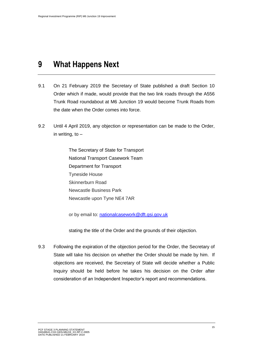### **9 What Happens Next**

- 9.1 On 21 February 2019 the Secretary of State published a draft Section 10 Order which if made, would provide that the two link roads through the A556 Trunk Road roundabout at M6 Junction 19 would become Trunk Roads from the date when the Order comes into force.
- 9.2 Until 4 April 2019, any objection or representation can be made to the Order, in writing, to –

The Secretary of State for Transport National Transport Casework Team Department for Transport Tyneside House Skinnerburn Road Newcastle Business Park Newcastle upon Tyne NE4 7AR

or by email to: [nationalcasework@dft.gsi.gov.uk](mailto:nationalcasework@dft.gsi.gov.uk)

stating the title of the Order and the grounds of their objection.

9.3 Following the expiration of the objection period for the Order, the Secretary of State will take his decision on whether the Order should be made by him. If objections are received, the Secretary of State will decide whether a Public Inquiry should be held before he takes his decision on the Order after consideration of an Independent Inspector's report and recommendations.